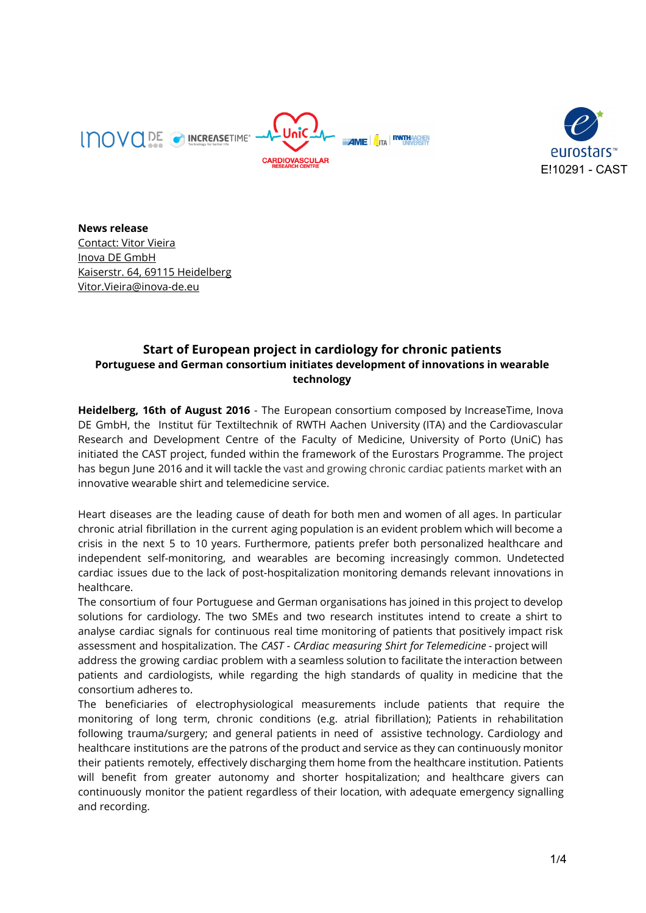



**News release** Contact: Vitor Vieira Inova DE GmbH Kaiserstr. 64, 69115 Heidelberg Vitor.Vieira@inova-de.eu

## **Start of European project in cardiology for chronic patients Portuguese and German consortium initiates development of innovations in wearable technology**

**Heidelberg, 16th of August 2016** - The European consortium composed by IncreaseTime, Inova DE GmbH, the Institut für Textiltechnik of RWTH Aachen University (ITA) and the Cardiovascular Research and Development Centre of the Faculty of Medicine, University of Porto (UniC) has initiated the CAST project, funded within the framework of the Eurostars Programme. The project has begun June 2016 and it will tackle the vast and growing chronic cardiac patients market with an innovative wearable shirt and telemedicine service.

Heart diseases are the leading cause of death for both men and women of all ages. In particular chronic atrial fibrillation in the current aging population is an evident problem which will become a crisis in the next 5 to 10 years. Furthermore, patients prefer both personalized healthcare and independent self-monitoring, and wearables are becoming increasingly common. Undetected cardiac issues due to the lack of post-hospitalization monitoring demands relevant innovations in healthcare.

The consortium of four Portuguese and German organisations has joined in this project to develop solutions for cardiology. The two SMEs and two research institutes intend to create a shirt to analyse cardiac signals for continuous real time monitoring of patients that positively impact risk assessment and hospitalization. The *CAST - CArdiac measuring Shirt for Telemedicine* - project will address the growing cardiac problem with a seamless solution to facilitate the interaction between patients and cardiologists, while regarding the high standards of quality in medicine that the consortium adheres to.

The beneficiaries of electrophysiological measurements include patients that require the monitoring of long term, chronic conditions (e.g. atrial fibrillation); Patients in rehabilitation following trauma/surgery; and general patients in need of assistive technology. Cardiology and healthcare institutions are the patrons of the product and service as they can continuously monitor their patients remotely, effectively discharging them home from the healthcare institution. Patients will benefit from greater autonomy and shorter hospitalization; and healthcare givers can continuously monitor the patient regardless of their location, with adequate emergency signalling and recording.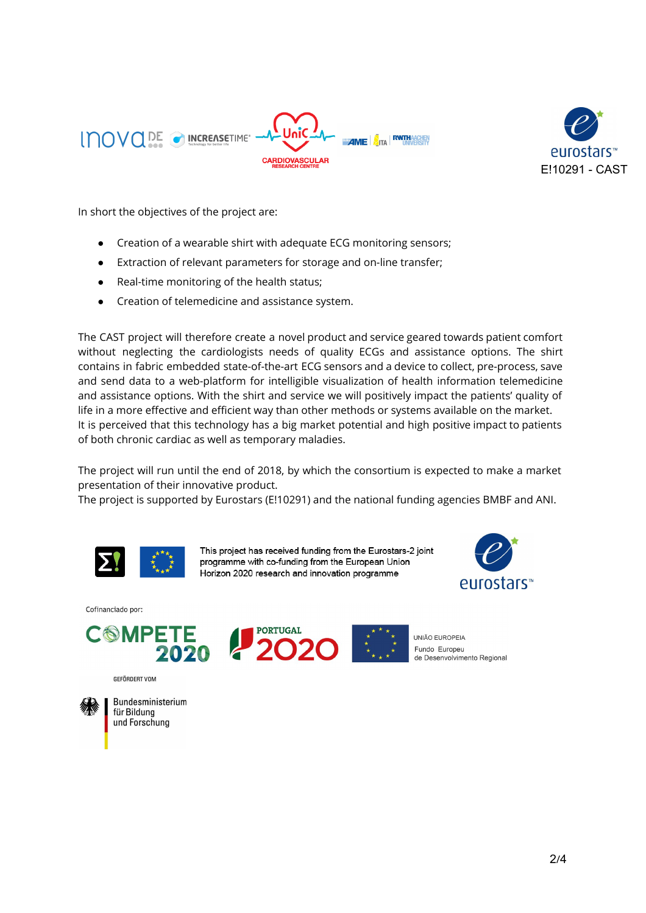



In short the objectives of the project are:

- Creation of a wearable shirt with adequate ECG monitoring sensors;
- Extraction of relevant parameters for storage and on-line transfer;
- Real-time monitoring of the health status;
- Creation of telemedicine and assistance system.

The CAST project will therefore create a novel product and service geared towards patient comfort without neglecting the cardiologists needs of quality ECGs and assistance options. The shirt contains in fabric embedded state-of-the-art ECG sensors and a device to collect, pre-process, save and send data to a web-platform for intelligible visualization of health information telemedicine and assistance options. With the shirt and service we will positively impact the patients' quality of life in a more effective and efficient way than other methods or systems available on the market. It is perceived that this technology has a big market potential and high positive impact to patients of both chronic cardiac as well as temporary maladies.

The project will run until the end of 2018, by which the consortium is expected to make a market presentation of their innovative product.

The project is supported by Eurostars (E!10291) and the national funding agencies BMBF and ANI.



This project has received funding from the Eurostars-2 joint programme with co-funding from the European Union Horizon 2020 research and innovation programme



UNIÃO EUROPEIA Fundo Europeu

de Desenvolvimento Regional

Cofinanciado por:



GEFÖRDERT VOM



Bundesministerium für Bildung und Forschung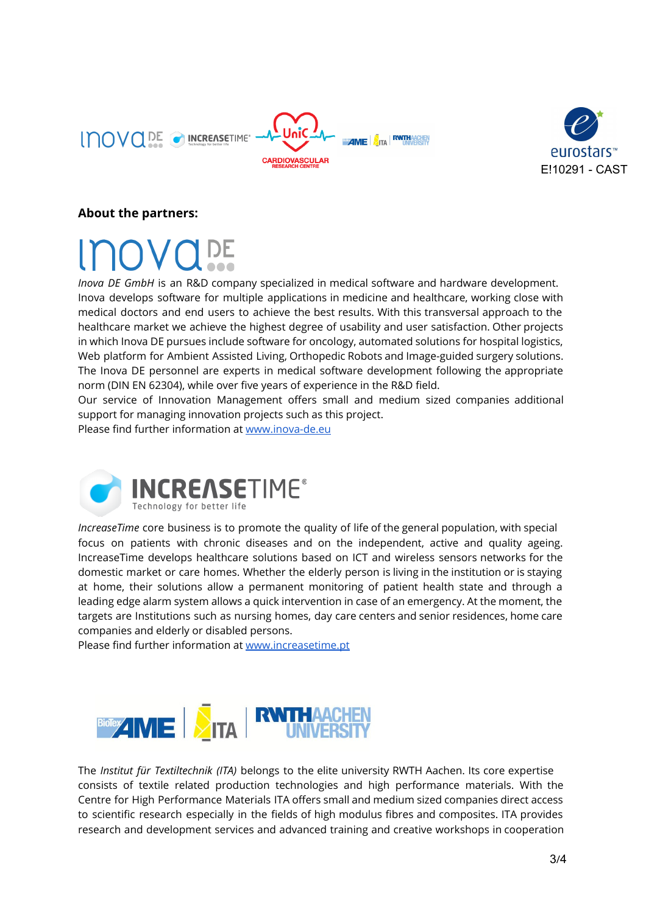

**RWTHAACHEN BARZIME** FITA



## **About the partners:**

*Inova DE GmbH* is an R&D company specialized in medical software and hardware development. Inova develops software for multiple applications in medicine and healthcare, working close with medical doctors and end users to achieve the best results. With this transversal approach to the healthcare market we achieve the highest degree of usability and user satisfaction. Other projects in which Inova DE pursues include software for oncology, automated solutions for hospital logistics, Web platform for Ambient Assisted Living, Orthopedic Robots and Image-guided surgery solutions. The Inova DE personnel are experts in medical software development following the appropriate norm (DIN EN 62304), while over five years of experience in the R&D field.

Our service of Innovation Management offers small and medium sized companies additional support for managing innovation projects such as this project.

Please find further information at [www.inova-de.eu](http://www.inova-de.eu/)



*IncreaseTime* core business is to promote the quality of life of the general population, with special focus on patients with chronic diseases and on the independent, active and quality ageing. IncreaseTime develops healthcare solutions based on ICT and wireless sensors networks for the domestic market or care homes. Whether the elderly person is living in the institution or is staying at home, their solutions allow a permanent monitoring of patient health state and through a leading edge alarm system allows a quick intervention in case of an emergency. At the moment, the targets are Institutions such as nursing homes, day care centers and senior residences, home care companies and elderly or disabled persons.

Please find further information at [www.increasetime.pt](http://www.increasetime.pt/)



The *Institut für Textiltechnik (ITA)* belongs to the elite university RWTH Aachen. Its core expertise consists of textile related production technologies and high performance materials. With the Centre for High Performance Materials ITA offers small and medium sized companies direct access to scientific research especially in the fields of high modulus fibres and composites. ITA provides research and development services and advanced training and creative workshops in cooperation